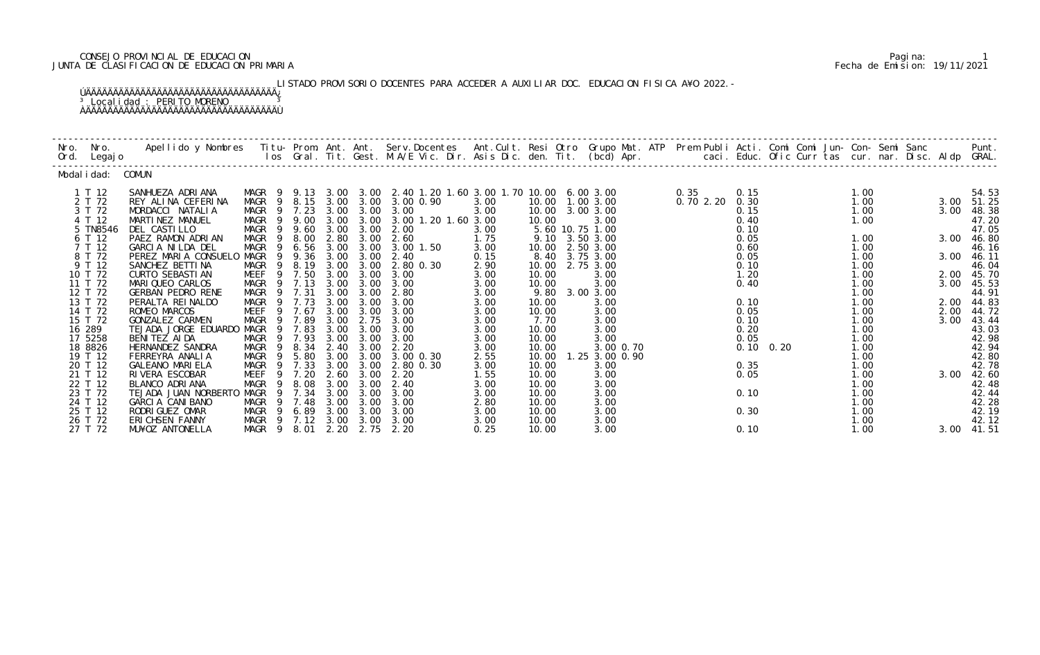### CONSEJO PROVINCIAL DE EDUCACION Pagina: 1 JUNTA DE CLASIFICACION DE EDUCACION PRIMARIA Fecha de Emision: 19/11/2021

LISTADO PROVISORIO DOCENTES PARA ACCEDER A AUXILIAR DOC. EDUCACION FISICA A¥O 2022.-

## ÚÄÄÄÄÄÄÄÄÄÄÄÄÄÄÄÄÄÄÄÄÄÄÄÄÄÄÄÄÄÄÄÄÄÄÄ¿ <sup>3</sup> Localidad : PERITO MORENO <sup>3</sup> ÀÄÄÄÄÄÄÄÄÄÄÄÄÄÄÄÄÄÄÄÄÄÄÄÄÄÄÄÄÄÄÄÄÄÄÄÙ

| Nro.<br>Ord. | Nro.<br>Legaj o    | Apellido y Nombres - Titu- Prom. Ant. Ant. Serv.Docentes - Ant.Cult. Resi Otro Grupo Mat. ATP - Prem Publi Acti. Comi Comi Jun- Con- Semi Sanc - Semi Sanc - Semi Sanc - Semi Sanc - Semi Sanc - Semi Sanc - Semi Sanc - Ios - |                              |              |              |              |                                                    |              |                |                              |          |              |                   | caci. Educ. Ofic Curr tas cur. nar. Disc. Aldp GRAL. |              | Punt.          |
|--------------|--------------------|--------------------------------------------------------------------------------------------------------------------------------------------------------------------------------------------------------------------------------|------------------------------|--------------|--------------|--------------|----------------------------------------------------|--------------|----------------|------------------------------|----------|--------------|-------------------|------------------------------------------------------|--------------|----------------|
|              | Modal i dad:       | COMUN                                                                                                                                                                                                                          |                              |              |              |              |                                                    |              |                |                              |          |              |                   |                                                      |              |                |
|              | 1 T 12             | SANHUEZA ADRIANA                                                                                                                                                                                                               | MAGR                         | 9.13         |              |              | 3.00 3.00 2.40 1.20 1.60 3.00 1.70 10.00 6.00 3.00 |              |                |                              | 0.35     | 0.15         |                   | 1.00                                                 |              | 54.53          |
|              | 2 T 72             | REY ALINA CEFERINA                                                                                                                                                                                                             | MAGR<br>-9<br>$\overline{9}$ | 8.15         | 3.00         | 3.00<br>3.00 | 3.00 0.90                                          | 3.00<br>3.00 |                | 10.00 1.00 3.00<br>3.00 3.00 | 0.702.20 | 0.30<br>0.15 |                   | 1.00                                                 | 3.00         | 51.25          |
|              | 3 T 72<br>4 T 12   | MORDACCI NATALIA<br>MARTINEZ MANUEL                                                                                                                                                                                            | MAGR<br>MAGR                 | 7.23<br>9.00 | 3.00<br>3.00 | 3.00         | 3.00<br>3.00 1.20 1.60 3.00                        |              | 10.00<br>10.00 | 3.00                         |          | 0.40         |                   | 1.00<br>1.00                                         | 3.00         | 48.38<br>47.20 |
|              | 5 TN8546           | DEL CASTILLO                                                                                                                                                                                                                   | MAGR<br>9                    | 9.60         | 3.00         | 3.00         | 2.00                                               | 3.00         |                | 5.60 10.75 1.00              |          | 0.10         |                   |                                                      |              | 47.05          |
|              | 6 T 12             | PAEZ RAMON ADRIAN                                                                                                                                                                                                              | MAGR<br>9                    | 8.00         | 2.80         | 3.00         | 2.60                                               | 1.75         | 9.10           | 3.50 3.00                    |          | 0.05         |                   | 1.00                                                 | 3.00         | 46.80          |
|              | 7 T 12             | GARCIA NILDA DEL                                                                                                                                                                                                               | <b>MAGR</b><br>9             | 6.56         | 3.00         | 3.00         | 3.00 1.50                                          | 3.00         | 10.00          | 2.50 3.00                    |          | 0.60         |                   | 1.00                                                 |              | 46.16          |
|              | 8 T 72<br>9 T 12   | PEREZ MARIA CONSUELO<br>SANCHEZ BETTI NA                                                                                                                                                                                       | MAGR<br><b>MAGR</b><br>9     | 9.36<br>8.19 | 3.00<br>3.00 | 3.00<br>3.00 | 2.40<br>2.80 0.30                                  | 0.15<br>2.90 | 8.40<br>10.00  | 3.75 3.00<br>2.75 3.00       |          | 0.05<br>0.10 |                   | 1.00<br>1.00                                         | 3.00         | 46.11<br>46.04 |
|              | 10 T 72            | <b>CURTO SEBASTIAN</b>                                                                                                                                                                                                         | MEEF<br>9                    | 7.50         | 3.00         | 3.00         | 3.00                                               | 3.00         | 10.00          | 3.00                         |          | 1.20         |                   | 1.00                                                 | 2.00         | 45.70          |
|              | 11 T 72            | MARIQUEO CARLOS                                                                                                                                                                                                                | MAGR<br>9                    | 7.13         | 3.00         | 3.00         | 3.00                                               | 3.00         | 10.00          | 3.00                         |          | 0.40         |                   | 1.00                                                 | 3.00         | 45.53          |
|              | 12 T 72            | <b>GERBAN PEDRO RENE</b>                                                                                                                                                                                                       | MAGR                         | 7.31         | 3.00         | 3.00         | 2.80                                               | 3.00         | 9.80           | 3.00 3.00                    |          |              |                   | 1.00                                                 |              | 44.91          |
|              | 13 T 72<br>14 T 72 | PERALTA REINALDO                                                                                                                                                                                                               | MAGR<br>9<br>9               | 7.73<br>7.67 | 3.00<br>3.00 | 3.00<br>3.00 | 3.00<br>3.00                                       | 3.00         | 10.00          | 3.00                         |          | 0.10         |                   | 1.00<br>1.00                                         | 2.00         | 44.83          |
|              | 15 T 72            | ROMEO MARCOS<br>GONZALEZ CARMEN                                                                                                                                                                                                | MEEF<br>MAGR<br>9            | 7.89         | 3.00         | 2.75         | 3.00                                               | 3.00<br>3.00 | 10.00<br>7.70  | 3.00<br>3.00                 |          | 0.05<br>0.10 |                   | 1.00                                                 | 2.00<br>3.00 | 44.72<br>43.44 |
|              | 16 289             | TEJADA JORGE EDUARDO                                                                                                                                                                                                           | MAGR                         | 7.83         | 3.00         | 3.00         | 3.00                                               | 3.00         | 10.00          | 3.00                         |          | 0.20         |                   | 1.00                                                 |              | 43.03          |
|              | 17 5258            | BENITEZ AIDA                                                                                                                                                                                                                   | MAGR                         | 7.93         | 3.00         | 3.00         | 3.00                                               | 3.00         | 10.00          | 3.00                         |          | 0.05         |                   | 1.00                                                 |              | 42.98          |
|              | 18 8826            | HERNANDEZ SANDRA                                                                                                                                                                                                               | MAGR<br>-9                   | 8.34         | 2.40         | 3.00         | 2.20                                               | 3.00         | 10.00          | 3.00 0.70                    |          |              | $0.10 \quad 0.20$ | 1.00                                                 |              | 42.94          |
|              | 19 T 12<br>20 T 12 | FERREYRA ANALIA<br><b>GALEANO MARIELA</b>                                                                                                                                                                                      | MAGR<br>- 9<br>MAGR          | 5.80<br>7.33 | 3.00<br>3.00 | 3.00<br>3.00 | $3.00 \, 0.30$<br>2.80 0.30                        | 2.55<br>3.00 | 10.00<br>10.00 | 1.25 3.00 0.90<br>3.00       |          | 0.35         |                   | 1.00<br>1.00                                         |              | 42.80<br>42.78 |
|              | 21 T 12            | RIVERA ESCOBAR                                                                                                                                                                                                                 | MEEF<br>9                    | 7.20         | 2.60         | 3.00         | 2.20                                               | 1.55         | 10.00          | 3.00                         |          | 0.05         |                   | 1.00                                                 | 3.00         | 42.60          |
|              | 22 T 12            | BLANCO ADRIANA                                                                                                                                                                                                                 | MAGR<br>-9                   | 8.08         | 3.00         | 3.00         | 2.40                                               | 3.00         | 10.00          | 3.00                         |          |              |                   | 1.00                                                 |              | 42.48          |
|              | 23 T 72            | TEJADA JUAN NORBERTO                                                                                                                                                                                                           | MAGR<br>9                    | 7.34         | 3.00         | 3.00         | 3.00                                               | 3.00         | 10.00          | 3.00                         |          | 0.10         |                   | 1.00                                                 |              | 42.44          |
|              | 24 T 12            | GARCIA CANIBANO                                                                                                                                                                                                                | MAGR                         | 7.48         | 3.00         | 3.00         | 3.00                                               | 2.80         | 10.00          | 3.00                         |          |              |                   | 1.00                                                 |              | 42.28          |
|              | 25 T 12<br>26 T 72 | RODRI GUEZ OMAR<br>ERICHSEN FANNY                                                                                                                                                                                              | MAGR<br>- 9<br>MAGR<br>- 9   | 6.89<br>7.12 | 3.00<br>3.00 | 3.00<br>3.00 | 3.00<br>3.00                                       | 3.00<br>3.00 | 10.00<br>10.00 | 3.00<br>3.00                 |          | 0.30         |                   | 1.00<br>1.00                                         |              | 42.19<br>42.12 |
|              | 27 T 72            | MU¥OZ ANTONELLA                                                                                                                                                                                                                | MAGR<br>- 9                  | 8.01         | 2.20         | 2.75         | 2.20                                               | 0.25         | 10.00          | 3.00                         |          | 0.10         |                   | 1.00                                                 | 3.00         | 41.51          |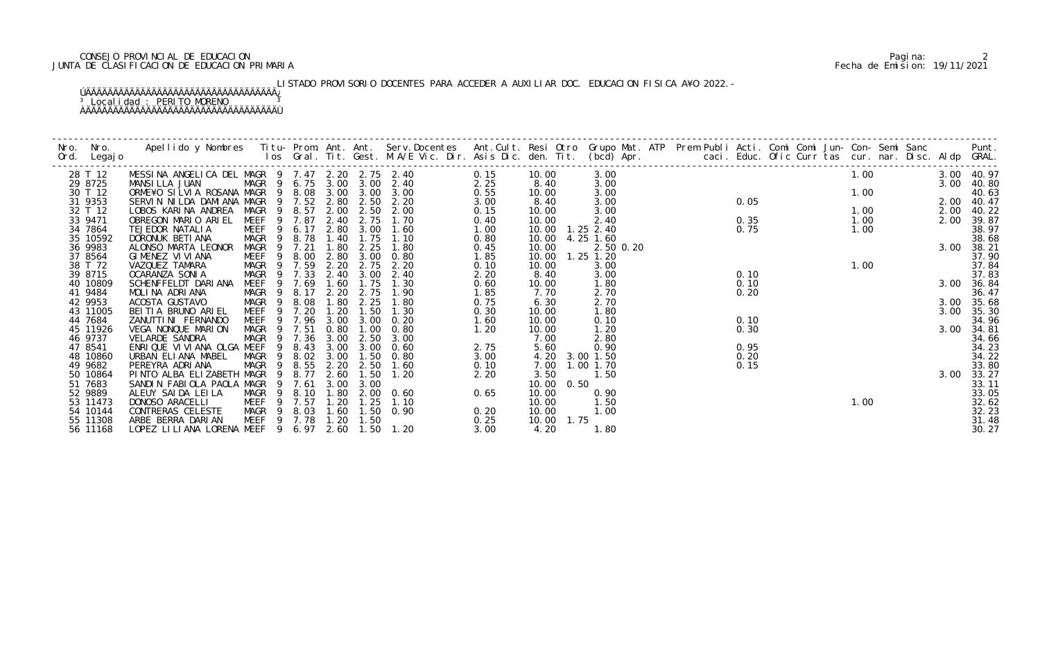#### CONSEJO PROVINCIAL DE EDUCACION Pagina: 2 JUNTA DE CLASIFICACION DE EDUCACION PRIMARIA Fecha de Emision: 19/11/2021

# LISTADO PROVISORIO DOCENTES PARA ACCEDER A AUXILIAR DOC. EDUCACION FISICA A¥O 2022.-

### ÚÄÄÄÄÄÄÄÄÄÄÄÄÄÄÄÄÄÄÄÄÄÄÄÄÄÄÄÄÄÄÄÄÄÄÄ¿ <sup>3</sup> Localidad : PERITO MORENO <sup>3</sup> ÀÄÄÄÄÄÄÄÄÄÄÄÄÄÄÄÄÄÄÄÄÄÄÄÄÄÄÄÄÄÄÄÄÄÄÄÙ

| Nro. | Nro. In the New York of the New York of the United States and the United States of the New York of the New Yor | Apellido y Nombres Titu- Prom. Ant. Ant. Serv.Docentes Ant.Cult. Resi Otro Grupo Mat. ATP Prem Publi Acti. Comi Comi Jun- Con- Semi Sanc             Punt.<br>Ios Gral. Tit. Gest. M.A/E Vic. Dir. Asis Dic. den. Tit. (bcd) Apr. |                                      |                |        |      |           |                            |              |                     |      |               |  |      |  |      |      |            |                |
|------|----------------------------------------------------------------------------------------------------------------|-----------------------------------------------------------------------------------------------------------------------------------------------------------------------------------------------------------------------------------|--------------------------------------|----------------|--------|------|-----------|----------------------------|--------------|---------------------|------|---------------|--|------|--|------|------|------------|----------------|
|      | Ord. Legajo                                                                                                    |                                                                                                                                                                                                                                   |                                      |                |        |      |           |                            |              |                     |      |               |  |      |  |      |      |            |                |
|      | 28 T 12                                                                                                        | MESSINA ANGELICA DEL MAGR 9 7.47 2.20 2.75 2.40                                                                                                                                                                                   |                                      |                |        |      |           |                            | 0.15         | 10.00               |      | 3.00          |  |      |  | 1.00 |      | 3.00 40.97 |                |
|      | 29 8725                                                                                                        | MANSILLA JUAN                                                                                                                                                                                                                     |                                      |                |        |      |           | MAGR 9 6.75 3.00 3.00 2.40 | 2.25         | 8.40                |      | 3.00          |  |      |  |      |      | 3.00       | 40.80          |
|      | 30 T 12                                                                                                        | ORME¥O SILVIA ROSANA MAGR 9 8.08 3.00 3.00                                                                                                                                                                                        |                                      |                |        |      |           | 3.00                       | 0.55         | 10.00               |      | 3.00          |  |      |  |      | 1.00 |            | 40.63          |
|      | 31 9353                                                                                                        | SERVIN NILDA DAMIANA MAGR 9 7.52 2.80                                                                                                                                                                                             |                                      |                |        |      |           | 2.50 2.20                  | 3.00         | 8.40                |      | 3.00          |  | 0.05 |  |      |      | 2.00 40.47 |                |
|      | 32 T 12                                                                                                        | LOBOS KARINA ANDREA MAGR 9 8.57                                                                                                                                                                                                   |                                      |                |        | 2.00 | 2.50      | 2.00                       | 0.15         | 10.00               |      | 3.00          |  |      |  | 1.00 |      | 2.00       | 40.22          |
|      | 33 9471                                                                                                        | OBREGON MARIO ARIEL                                                                                                                                                                                                               | MEEF 9 7.87 2.40                     |                |        |      | 2.75      | 1.70                       | 0.40         | 10.00               |      | 2.40          |  | 0.35 |  | 1.00 |      | 2.00       | 39.87          |
|      | 34 7864                                                                                                        | TEJEDOR NATALIA                                                                                                                                                                                                                   | MEEF 9 6.17                          |                |        |      | 2.80 3.00 | 1.60                       | 1.00         | 10.00  1.25  2.40   |      |               |  | 0.75 |  | 1.00 |      |            | 38.97          |
|      | 35 10592                                                                                                       | DORONUK BETI ANA                                                                                                                                                                                                                  | MAGR                                 | $\frac{9}{2}$  | 8.78   | 1.40 | 1.75      | 1.10                       | 0.80         | 10.00               |      | 4.25 1.60     |  |      |  |      |      |            | 38.68          |
|      | 36 9983                                                                                                        | ALONSO MARTA LEONOR                                                                                                                                                                                                               | MAGR                                 | $\overline{9}$ | 7.21   | 1.80 | 2.25      | 1.80                       | 0.45         | 10.00               |      | 2.50 0.20     |  |      |  |      |      |            | 3.00 38.21     |
|      | 37 8564                                                                                                        | GIMENEZ VI VI ANA                                                                                                                                                                                                                 | MEEF                                 |                | 9 8.00 | 2.80 | 3.00      | 0.80                       | 1.85         | 10.00               |      | $1.25$ $1.20$ |  |      |  |      |      |            | 37.90          |
|      | 38 T 72                                                                                                        | VAZQUEZ TAMARA                                                                                                                                                                                                                    | MAGR 9 7.59                          |                |        | 2.20 | 2.75      | 2.20                       | 0.10         | 10.00               |      | 3.00          |  |      |  |      | 1.00 |            | 37.84          |
|      | 39 8715                                                                                                        | OCARANZA SONIA                                                                                                                                                                                                                    | MAGR                                 |                | 9 7.33 | 2.40 | 3.00      | 2.40                       | 2.20         | 8.40                |      | 3.00          |  | 0.10 |  |      |      |            | 37.83          |
|      | 40 10809                                                                                                       | SCHENFFELDT DARIANA                                                                                                                                                                                                               | MEEF                                 | $\overline{9}$ | 7.69   | 1.60 | 1.75      | 1.30                       | 0.60         | 10.00               |      | 1.80          |  | 0.10 |  |      |      |            | 3.00 36.84     |
|      | 41 9484                                                                                                        | MOLINA ADRIANA                                                                                                                                                                                                                    | MAGR 9 8.17                          |                |        | 2.20 | 2.75      | 1.90                       | 1.85         | 7.70                |      | 2.70          |  | 0.20 |  |      |      |            | 36.47          |
|      | 42 9953                                                                                                        | ACOSTA GUSTAVO                                                                                                                                                                                                                    | MAGR                                 |                | 9 8.08 | 1.80 | 2.25      | 1.80                       | 0.75         | 6.30                |      | 2.70          |  |      |  |      |      |            | 3.00 35.68     |
|      | 43 11005                                                                                                       | BEITIA BRUNO ARIEL                                                                                                                                                                                                                | MEEF                                 | $\overline{9}$ | 7.20   | 1.20 | 1.50      | 1.30                       | 0.30         | 10.00               |      | 1.80          |  |      |  |      |      | 3.00       | 35.30          |
|      | 44 7684                                                                                                        | ZANUTTI NI FERNANDO                                                                                                                                                                                                               | MEEF 9 7.96                          |                |        | 3.00 | 3.00      | 0.20                       | 1.60         | 10.00               |      | 0.10          |  | 0.10 |  |      |      |            | 34.96          |
|      | 45 11926                                                                                                       | VEGA NONQUE MARION                                                                                                                                                                                                                | MAGR 9 7.51                          |                |        | 0.80 | 1.00      | 0.80                       | 1.20         | 10.00               |      | 1.20          |  | 0.30 |  |      |      | 3.00       | 34.81          |
|      | 46 9737                                                                                                        | VELARDE SANDRA                                                                                                                                                                                                                    | MAGR                                 |                | 9 7.36 | 3.00 | 2.50      | 3.00                       |              | 7.00                |      | 2.80          |  |      |  |      |      |            | 34.66          |
|      | 47 8541                                                                                                        | ENRIQUE VI VI ANA OLGA MEEF                                                                                                                                                                                                       |                                      | 9              | 8.43   | 3.00 | 3.00      | 0.60                       | 2.75         | 5.60                |      | 0.90          |  | 0.95 |  |      |      |            | 34.23          |
|      | 48 10860                                                                                                       | URBAN ELIANA MABEL                                                                                                                                                                                                                | MAGR                                 |                | 9 8.02 | 3.00 | 1.50      | 0.80                       | 3.00         | 4.20                |      | 3.00 1.50     |  | 0.20 |  |      |      |            | 34.22          |
|      | 49 9682                                                                                                        | PEREYRA ADRIANA                                                                                                                                                                                                                   | MAGR                                 |                | 9 8.55 | 2.20 | 2.50      | 1.60                       | 0.10         | 7.00                |      | 1.00 1.70     |  | 0.15 |  |      |      |            | 33.80          |
|      | 50 10864                                                                                                       | PINTO ALBA ELIZABETH MAGR                                                                                                                                                                                                         |                                      | 9              | 8.77   | 2.60 | 1.50      | 1.20                       | 2.20         | 3.50                |      | 1.50          |  |      |  |      |      | 3.00       | 33.27          |
|      | 51 7683                                                                                                        | SANDIN FABIOLA PAOLA MAGR                                                                                                                                                                                                         |                                      | 9              | 7.61   | 3.00 | 3.00      |                            |              | 10.00               | 0.50 |               |  |      |  |      |      |            | 33.11          |
|      | 52 9889                                                                                                        | ALEUY SAIDA LEILA                                                                                                                                                                                                                 | MAGR 9 8.10                          |                |        | 1.80 | 2.00      | 0.60                       | 0.65         | 10.00               |      | 0.90          |  |      |  |      |      |            | 33.05          |
|      | 53 11473<br>54 10144                                                                                           | DONOSO ARACELLI<br>CONTRERAS CELESTE                                                                                                                                                                                              | MEEF 9 7.57                          |                |        | 1.20 | 1.25      | 1.10<br>$1.50 \t 0.90$     |              | 10.00               |      | 1.50<br>1.00  |  |      |  | 1.00 |      |            | 32.62          |
|      | 55 11308                                                                                                       | ARBE BERRA DARIAN                                                                                                                                                                                                                 | MAGR 9 8.03 1.60<br>MEEF 9 7.78 1.20 |                |        |      | 1.50      |                            | 0.20<br>0.25 | 10.00<br>10.00 1.75 |      |               |  |      |  |      |      |            | 32.23<br>31.48 |
|      |                                                                                                                | LOPEZ LILIANA LORENA MEEF 9 6.97 2.60 1.50 1.20                                                                                                                                                                                   |                                      |                |        |      |           |                            | 3.00         | 4.20                |      |               |  |      |  |      |      |            |                |
|      | 56 11168                                                                                                       |                                                                                                                                                                                                                                   |                                      |                |        |      |           |                            |              |                     |      | 1.80          |  |      |  |      |      |            | 30.27          |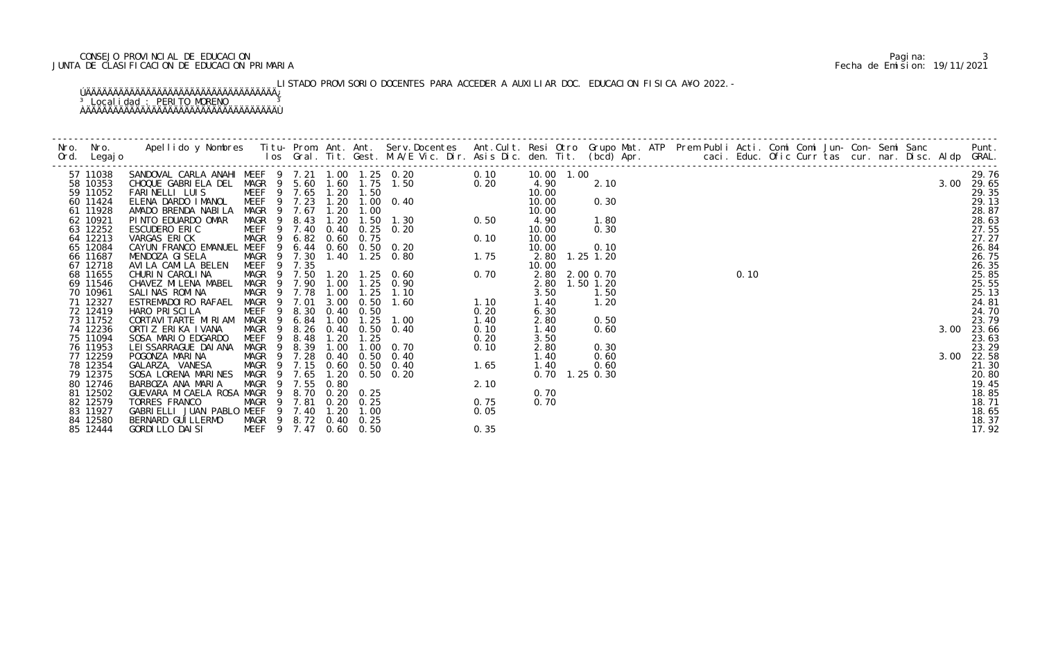### CONSEJO PROVINCIAL DE EDUCACION Pagina: 3 JUNTA DE CLASIFICACION DE EDUCACION PRIMARIA Fecha de Emision: 19/11/2021

# LISTADO PROVISORIO DOCENTES PARA ACCEDER A AUXILIAR DOC. EDUCACION FISICA A¥O 2022.-

#### ÚÄÄÄÄÄÄÄÄÄÄÄÄÄÄÄÄÄÄÄÄÄÄÄÄÄÄÄÄÄÄÄÄÄÄÄ¿ <sup>3</sup> Localidad : PERITO MORENO <sup>3</sup> ÀÄÄÄÄÄÄÄÄÄÄÄÄÄÄÄÄÄÄÄÄÄÄÄÄÄÄÄÄÄÄÄÄÄÄÄÙ

| 57 11038             | SANDOVAL CARLA ANAHI MEEF 9 7.21 1.00 1.25 0.20<br>CHOQUE GABRIELA DEL MAGR 9 5.60 1.60 1.75 1.50 |                                      |      |      |                   |                                                                                                                                                                                                                                                                                     | 0.10  | 10.00 1.00     |      |                                                                                                                                                                                                                                                                                      |  |  |  |  |  |            |
|----------------------|---------------------------------------------------------------------------------------------------|--------------------------------------|------|------|-------------------|-------------------------------------------------------------------------------------------------------------------------------------------------------------------------------------------------------------------------------------------------------------------------------------|-------|----------------|------|--------------------------------------------------------------------------------------------------------------------------------------------------------------------------------------------------------------------------------------------------------------------------------------|--|--|--|--|--|------------|
| 58 10353             |                                                                                                   |                                      |      |      |                   | 1. 25 0. 20<br>1. 75 1. 50<br>1. 50<br>1. 00 0. 40<br>1. 50 1. 30<br>1. 50 1. 30<br>0. 50<br>0. 75<br>0. 75<br>0. 75<br>0. 75<br>0. 75<br>0. 75<br>0. 75<br>0. 75<br>0. 75<br>0. 75<br>0. 75<br>0. 75<br>0. 75<br>1. 25<br>0. 80<br>1. 75<br>1. 25<br>0. 80<br>1. 75<br>1. 25<br>0. |       | 4.90           | 2.10 |                                                                                                                                                                                                                                                                                      |  |  |  |  |  | 3.00 29.65 |
| 59 11052             | FARINELLI LUIS                                                                                    | MEEF 9 7.65 1.20 1.50                |      |      |                   |                                                                                                                                                                                                                                                                                     |       | 10.00          |      |                                                                                                                                                                                                                                                                                      |  |  |  |  |  |            |
| 60 11424             | ELENA DARDO IMANOL MEEF 9 7.23                                                                    |                                      |      |      |                   | 1.20 1.00 0.40                                                                                                                                                                                                                                                                      |       | 10.00          | 0.30 |                                                                                                                                                                                                                                                                                      |  |  |  |  |  |            |
| 61 11928             | AMADO BRENDA NABILA                                                                               | MAGR 9 7.67                          |      | 1.20 |                   |                                                                                                                                                                                                                                                                                     |       | 10.00          |      |                                                                                                                                                                                                                                                                                      |  |  |  |  |  |            |
| 62 10921             | PINTO EDUARDO OMAR                                                                                | MAGR 9                               | 8.43 | 1.20 |                   |                                                                                                                                                                                                                                                                                     |       | 4.90           | 1.80 |                                                                                                                                                                                                                                                                                      |  |  |  |  |  |            |
| 63 12252             | ESCUDERO ERIC                                                                                     | MEEF 9 7.40                          |      |      |                   | 0.40 0.25 0.20                                                                                                                                                                                                                                                                      |       | 10.00          | 0.30 |                                                                                                                                                                                                                                                                                      |  |  |  |  |  |            |
| 64 12213             | VARGAS ERICK                                                                                      | MAGR <sub>9</sub>                    | 6.82 |      | $0.60$ $0.75$     |                                                                                                                                                                                                                                                                                     |       | 10.00          |      |                                                                                                                                                                                                                                                                                      |  |  |  |  |  |            |
| 65 12084             | CAYUN FRANCO EMANUEL MEEF 9                                                                       |                                      | 6.44 |      |                   | 0.60 0.50 0.20                                                                                                                                                                                                                                                                      |       | 10.00          | 0.10 |                                                                                                                                                                                                                                                                                      |  |  |  |  |  |            |
| 66 11687             | MENDOZA GI SELA                                                                                   | MAGR 9 7.30                          |      |      |                   | 1.40 1.25 0.80                                                                                                                                                                                                                                                                      |       | 2.80 1.25 1.20 |      |                                                                                                                                                                                                                                                                                      |  |  |  |  |  |            |
| 67 12718             | AVILA CAMILA BELEN                                                                                | MEEF 9 7.35                          |      |      |                   |                                                                                                                                                                                                                                                                                     |       | 10.00          |      |                                                                                                                                                                                                                                                                                      |  |  |  |  |  |            |
| 68 11655             | CHURIN CAROLINA                                                                                   | MAGR 9 7.50                          |      |      |                   | 1.20 1.25 0.60                                                                                                                                                                                                                                                                      |       | 2.80 2.00 0.70 |      |                                                                                                                                                                                                                                                                                      |  |  |  |  |  |            |
| 69 11546             | CHAVEZ MILENA MABEL                                                                               | MAGR <sub>9</sub>                    | 7.90 | 1.00 |                   |                                                                                                                                                                                                                                                                                     |       | 2.80 1.50 1.20 |      |                                                                                                                                                                                                                                                                                      |  |  |  |  |  |            |
| 70 10961             | SALINAS ROMINA                                                                                    | MAGR 9 7.78                          |      | 1.00 |                   |                                                                                                                                                                                                                                                                                     |       | 3.50           | 1.50 |                                                                                                                                                                                                                                                                                      |  |  |  |  |  |            |
| 71 12327             | ESTREMADOI RO RAFAEL                                                                              | MAGR 9 7.01                          |      | 3.00 |                   |                                                                                                                                                                                                                                                                                     |       | 1.40           | 1.20 |                                                                                                                                                                                                                                                                                      |  |  |  |  |  |            |
| 72 12419             | HARO PRISCILA                                                                                     | MEEF<br>- 9                          | 8.30 |      | $0.40 \quad 0.50$ |                                                                                                                                                                                                                                                                                     | 0. 20 | 6.30           |      |                                                                                                                                                                                                                                                                                      |  |  |  |  |  |            |
| 73 11752             | CORTAVI TARTE MI RI AM                                                                            | MAGR <sub>9</sub>                    | 6.84 | 1.00 | 1.25              | 1.00                                                                                                                                                                                                                                                                                | 1.40  | 2.80           | 0.50 |                                                                                                                                                                                                                                                                                      |  |  |  |  |  |            |
| 74 12236             | ORTIZ ERIKA IVANA                                                                                 | MAGR <sub>9</sub>                    | 8.26 |      |                   | 0.40 0.50 0.40                                                                                                                                                                                                                                                                      | 0.10  | 1.40           | 0.60 |                                                                                                                                                                                                                                                                                      |  |  |  |  |  |            |
| 75 11094             | SOSA MARIO EDGARDO                                                                                | MEEF <sub>9</sub>                    | 8.48 | 1.20 | 1.25              |                                                                                                                                                                                                                                                                                     | 0.20  | 3.50           |      |                                                                                                                                                                                                                                                                                      |  |  |  |  |  |            |
| 76 11953             | LEI SSARRAGUE DAI ANA                                                                             | MAGR <sub>9</sub>                    | 8.39 | 1.00 |                   | $1.00 \quad 0.70$                                                                                                                                                                                                                                                                   |       | 2.80           | 0.30 |                                                                                                                                                                                                                                                                                      |  |  |  |  |  |            |
| 77 12259             | POGONZA MARINA                                                                                    | MAGR <sub>9</sub>                    | 7.28 | 0.40 | 0.50              |                                                                                                                                                                                                                                                                                     |       | 1.40           | 0.60 |                                                                                                                                                                                                                                                                                      |  |  |  |  |  |            |
| 78 12354             | GALARZA, VANESA                                                                                   | MAGR 9 7.15                          |      |      |                   | 0.60 0.50 0.40                                                                                                                                                                                                                                                                      |       | 1.40           | 0.60 |                                                                                                                                                                                                                                                                                      |  |  |  |  |  |            |
| 79 12375             | SOSA LORENA MARINES MAGR 9 7.65                                                                   |                                      |      |      |                   | 1.20 0.50 0.20                                                                                                                                                                                                                                                                      |       | 0.70 1.25 0.30 |      |                                                                                                                                                                                                                                                                                      |  |  |  |  |  |            |
| 80 12746             | BARBOZA ANA MARIA                                                                                 | MAGR 9 7.55                          |      | 0.80 |                   |                                                                                                                                                                                                                                                                                     |       |                |      |                                                                                                                                                                                                                                                                                      |  |  |  |  |  |            |
| 81 12502             | GUEVARA MI CAELA ROSA MAGR                                                                        | - 9                                  | 8.70 |      | $0.20 \quad 0.25$ |                                                                                                                                                                                                                                                                                     |       | 0.70           |      |                                                                                                                                                                                                                                                                                      |  |  |  |  |  |            |
| 82 12579             | TORRES FRANCO                                                                                     | MAGR 9 7.81 0.20 0.25                |      |      |                   |                                                                                                                                                                                                                                                                                     |       | 0.70           |      |                                                                                                                                                                                                                                                                                      |  |  |  |  |  |            |
| 83 11927             | GABRIELLI JUAN PABLO MEEF 9 7.40 1.20                                                             |                                      |      |      | 1.00              |                                                                                                                                                                                                                                                                                     |       |                |      |                                                                                                                                                                                                                                                                                      |  |  |  |  |  |            |
| 84 12580<br>85 12444 | BERNARD GUI LLERMO<br>GORDI LLO DAI SI                                                            | MAGR 9 8.72 0.40 0.25<br>MEEF 9 7.47 |      |      | $0.60$ $0.50$     | 1. 25<br>1. 00 0. 70 0. 10<br>0. 50 0. 40<br>0. 50 0. 40<br>0. 50 0. 20<br>2. 10<br>0. 25<br>0. 25<br>1. 00<br>0. 25<br>0. 75<br>1. 00<br>0. 25<br>0. 75<br>1. 00<br>0. 25                                                                                                          | 0.35  |                |      | $0.10$<br>$0.10$<br>$0.00$<br>$0.00$<br>$0.00$<br>$0.00$<br>$0.00$<br>$0.00$<br>$0.00$<br>$0.00$<br>$0.00$<br>$0.00$<br>$0.00$<br>$0.00$<br>$0.00$<br>$0.00$<br>$0.00$<br>$0.00$<br>$0.00$<br>$0.00$<br>$0.00$<br>$0.00$<br>$0.00$<br>$0.00$<br>$0.00$<br>$0.00$<br>$0.00$<br>$0.00$ |  |  |  |  |  |            |